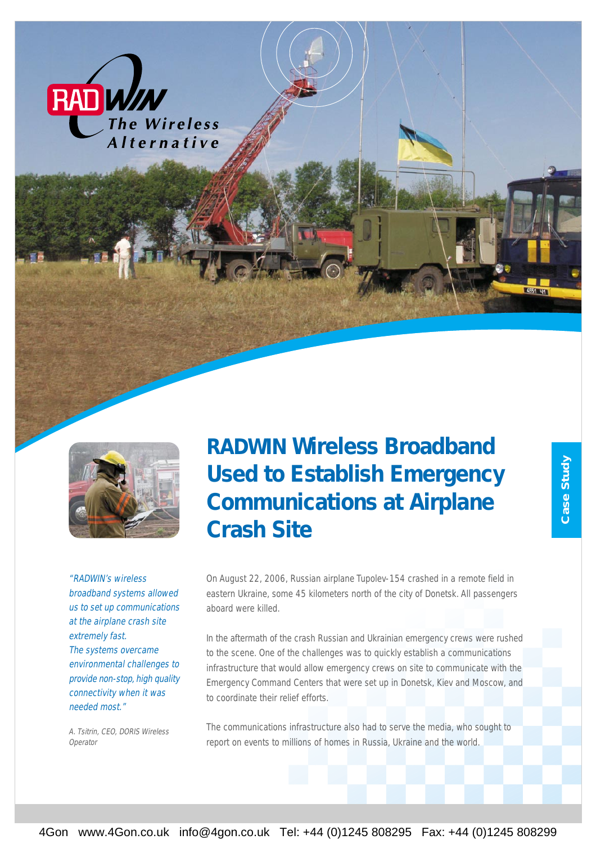



"RADWIN's wireless broadband systems allowed us to set up communications at the airplane crash site extremely fast. The systems overcame environmental challenges to provide non-stop, high quality connectivity when it was needed most."

A. Tsitrin, CEO, DORIS Wireless Operator

*RADWIN Wireless Broadband Used to Establish Emergency Communications at Airplane Crash Site*

On August 22, 2006, Russian airplane Tupolev-154 crashed in a remote field in eastern Ukraine, some 45 kilometers north of the city of Donetsk. All passengers aboard were killed.

In the aftermath of the crash Russian and Ukrainian emergency crews were rushed to the scene. One of the challenges was to quickly establish a communications infrastructure that would allow emergency crews on site to communicate with the Emergency Command Centers that were set up in Donetsk, Kiev and Moscow, and to coordinate their relief efforts.

The communications infrastructure also had to serve the media, who sought to report on events to millions of homes in Russia, Ukraine and the world.